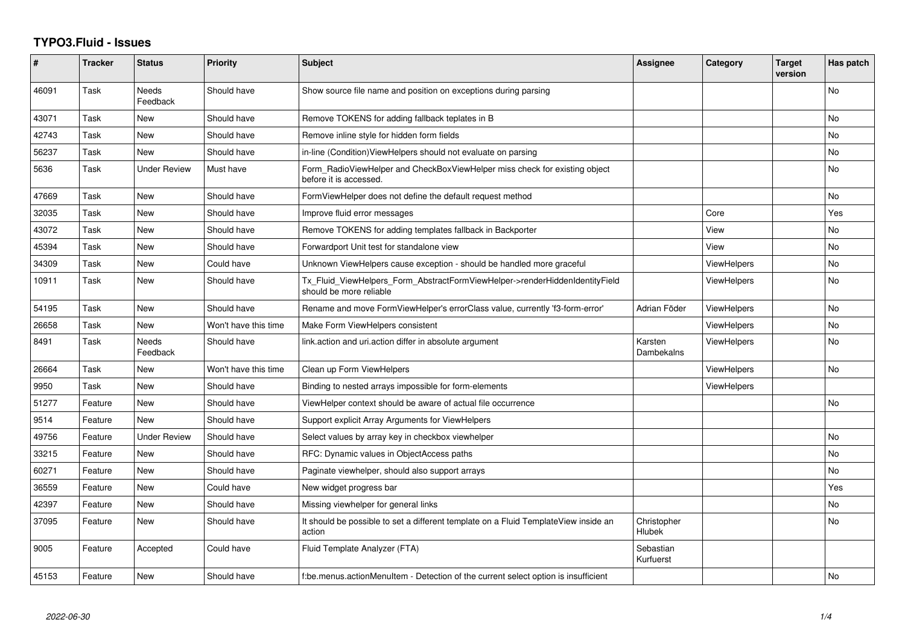## **TYPO3.Fluid - Issues**

| #     | <b>Tracker</b> | <b>Status</b>            | <b>Priority</b>      | Subject                                                                                                | Assignee                     | Category           | <b>Target</b><br>version | Has patch |
|-------|----------------|--------------------------|----------------------|--------------------------------------------------------------------------------------------------------|------------------------------|--------------------|--------------------------|-----------|
| 46091 | Task           | <b>Needs</b><br>Feedback | Should have          | Show source file name and position on exceptions during parsing                                        |                              |                    |                          | No        |
| 43071 | Task           | <b>New</b>               | Should have          | Remove TOKENS for adding fallback teplates in B                                                        |                              |                    |                          | <b>No</b> |
| 42743 | Task           | <b>New</b>               | Should have          | Remove inline style for hidden form fields                                                             |                              |                    |                          | <b>No</b> |
| 56237 | Task           | <b>New</b>               | Should have          | in-line (Condition) View Helpers should not evaluate on parsing                                        |                              |                    |                          | No        |
| 5636  | Task           | <b>Under Review</b>      | Must have            | Form_RadioViewHelper and CheckBoxViewHelper miss check for existing object<br>before it is accessed.   |                              |                    |                          | No        |
| 47669 | Task           | <b>New</b>               | Should have          | FormViewHelper does not define the default request method                                              |                              |                    |                          | <b>No</b> |
| 32035 | Task           | New                      | Should have          | Improve fluid error messages                                                                           |                              | Core               |                          | Yes       |
| 43072 | Task           | <b>New</b>               | Should have          | Remove TOKENS for adding templates fallback in Backporter                                              |                              | View               |                          | <b>No</b> |
| 45394 | Task           | New                      | Should have          | Forwardport Unit test for standalone view                                                              |                              | View               |                          | No        |
| 34309 | Task           | <b>New</b>               | Could have           | Unknown ViewHelpers cause exception - should be handled more graceful                                  |                              | <b>ViewHelpers</b> |                          | No        |
| 10911 | Task           | New                      | Should have          | Tx_Fluid_ViewHelpers_Form_AbstractFormViewHelper->renderHiddenIdentityField<br>should be more reliable |                              | ViewHelpers        |                          | No        |
| 54195 | Task           | New                      | Should have          | Rename and move FormViewHelper's errorClass value, currently 'f3-form-error'                           | Adrian Föder                 | ViewHelpers        |                          | No        |
| 26658 | Task           | <b>New</b>               | Won't have this time | Make Form ViewHelpers consistent                                                                       |                              | <b>ViewHelpers</b> |                          | <b>No</b> |
| 8491  | Task           | Needs<br>Feedback        | Should have          | link.action and uri.action differ in absolute argument                                                 | Karsten<br>Dambekalns        | ViewHelpers        |                          | No        |
| 26664 | Task           | New                      | Won't have this time | Clean up Form ViewHelpers                                                                              |                              | ViewHelpers        |                          | <b>No</b> |
| 9950  | Task           | <b>New</b>               | Should have          | Binding to nested arrays impossible for form-elements                                                  |                              | <b>ViewHelpers</b> |                          |           |
| 51277 | Feature        | New                      | Should have          | ViewHelper context should be aware of actual file occurrence                                           |                              |                    |                          | <b>No</b> |
| 9514  | Feature        | <b>New</b>               | Should have          | Support explicit Array Arguments for ViewHelpers                                                       |                              |                    |                          |           |
| 49756 | Feature        | <b>Under Review</b>      | Should have          | Select values by array key in checkbox viewhelper                                                      |                              |                    |                          | <b>No</b> |
| 33215 | Feature        | New                      | Should have          | RFC: Dynamic values in ObjectAccess paths                                                              |                              |                    |                          | <b>No</b> |
| 60271 | Feature        | New                      | Should have          | Paginate viewhelper, should also support arrays                                                        |                              |                    |                          | <b>No</b> |
| 36559 | Feature        | <b>New</b>               | Could have           | New widget progress bar                                                                                |                              |                    |                          | Yes       |
| 42397 | Feature        | New                      | Should have          | Missing viewhelper for general links                                                                   |                              |                    |                          | No        |
| 37095 | Feature        | New                      | Should have          | It should be possible to set a different template on a Fluid TemplateView inside an<br>action          | Christopher<br><b>Hlubek</b> |                    |                          | <b>No</b> |
| 9005  | Feature        | Accepted                 | Could have           | Fluid Template Analyzer (FTA)                                                                          | Sebastian<br>Kurfuerst       |                    |                          |           |
| 45153 | Feature        | <b>New</b>               | Should have          | f:be.menus.actionMenuItem - Detection of the current select option is insufficient                     |                              |                    |                          | No        |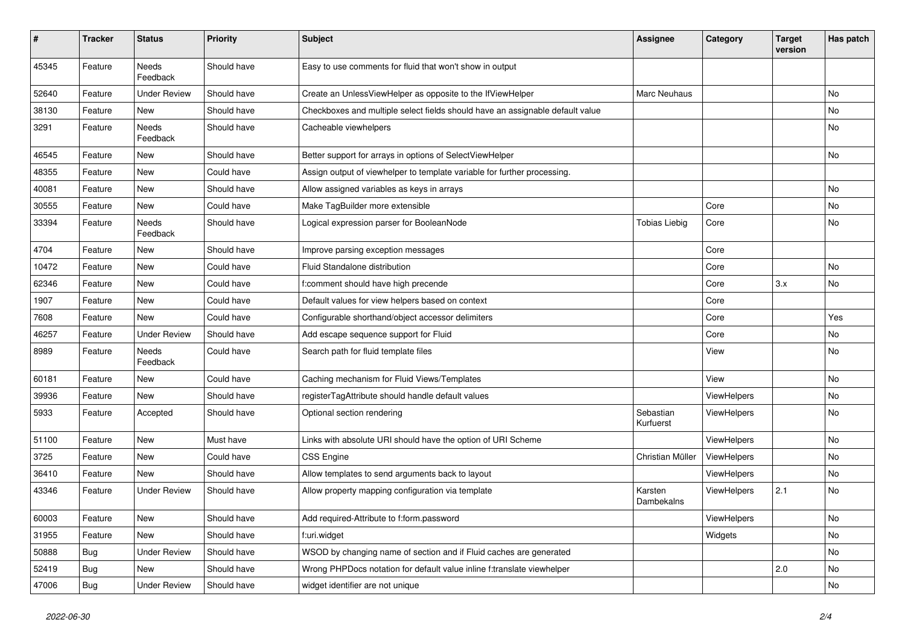| $\sharp$ | <b>Tracker</b> | <b>Status</b>            | <b>Priority</b> | Subject                                                                       | <b>Assignee</b>        | Category    | <b>Target</b><br>version | Has patch |
|----------|----------------|--------------------------|-----------------|-------------------------------------------------------------------------------|------------------------|-------------|--------------------------|-----------|
| 45345    | Feature        | Needs<br>Feedback        | Should have     | Easy to use comments for fluid that won't show in output                      |                        |             |                          |           |
| 52640    | Feature        | <b>Under Review</b>      | Should have     | Create an UnlessViewHelper as opposite to the IfViewHelper                    | Marc Neuhaus           |             |                          | No        |
| 38130    | Feature        | New                      | Should have     | Checkboxes and multiple select fields should have an assignable default value |                        |             |                          | No        |
| 3291     | Feature        | Needs<br>Feedback        | Should have     | Cacheable viewhelpers                                                         |                        |             |                          | No        |
| 46545    | Feature        | New                      | Should have     | Better support for arrays in options of SelectViewHelper                      |                        |             |                          | No        |
| 48355    | Feature        | New                      | Could have      | Assign output of viewhelper to template variable for further processing.      |                        |             |                          |           |
| 40081    | Feature        | New                      | Should have     | Allow assigned variables as keys in arrays                                    |                        |             |                          | No        |
| 30555    | Feature        | New                      | Could have      | Make TagBuilder more extensible                                               |                        | Core        |                          | No        |
| 33394    | Feature        | <b>Needs</b><br>Feedback | Should have     | Logical expression parser for BooleanNode                                     | <b>Tobias Liebig</b>   | Core        |                          | No        |
| 4704     | Feature        | New                      | Should have     | Improve parsing exception messages                                            |                        | Core        |                          |           |
| 10472    | Feature        | <b>New</b>               | Could have      | Fluid Standalone distribution                                                 |                        | Core        |                          | <b>No</b> |
| 62346    | Feature        | New                      | Could have      | f:comment should have high precende                                           |                        | Core        | 3.x                      | No        |
| 1907     | Feature        | New                      | Could have      | Default values for view helpers based on context                              |                        | Core        |                          |           |
| 7608     | Feature        | New                      | Could have      | Configurable shorthand/object accessor delimiters                             |                        | Core        |                          | Yes       |
| 46257    | Feature        | <b>Under Review</b>      | Should have     | Add escape sequence support for Fluid                                         |                        | Core        |                          | No        |
| 8989     | Feature        | Needs<br>Feedback        | Could have      | Search path for fluid template files                                          |                        | View        |                          | No        |
| 60181    | Feature        | New                      | Could have      | Caching mechanism for Fluid Views/Templates                                   |                        | View        |                          | No        |
| 39936    | Feature        | New                      | Should have     | registerTagAttribute should handle default values                             |                        | ViewHelpers |                          | No        |
| 5933     | Feature        | Accepted                 | Should have     | Optional section rendering                                                    | Sebastian<br>Kurfuerst | ViewHelpers |                          | No        |
| 51100    | Feature        | New                      | Must have       | Links with absolute URI should have the option of URI Scheme                  |                        | ViewHelpers |                          | No        |
| 3725     | Feature        | New                      | Could have      | CSS Engine                                                                    | Christian Müller       | ViewHelpers |                          | No        |
| 36410    | Feature        | <b>New</b>               | Should have     | Allow templates to send arguments back to layout                              |                        | ViewHelpers |                          | No        |
| 43346    | Feature        | <b>Under Review</b>      | Should have     | Allow property mapping configuration via template                             | Karsten<br>Dambekalns  | ViewHelpers | 2.1                      | No        |
| 60003    | Feature        | New                      | Should have     | Add required-Attribute to f:form.password                                     |                        | ViewHelpers |                          | No        |
| 31955    | Feature        | New                      | Should have     | f:uri.widget                                                                  |                        | Widgets     |                          | No        |
| 50888    | Bug            | <b>Under Review</b>      | Should have     | WSOD by changing name of section and if Fluid caches are generated            |                        |             |                          | No        |
| 52419    | <b>Bug</b>     | New                      | Should have     | Wrong PHPDocs notation for default value inline f:translate viewhelper        |                        |             | 2.0                      | No        |
| 47006    | <b>Bug</b>     | <b>Under Review</b>      | Should have     | widget identifier are not unique                                              |                        |             |                          | No        |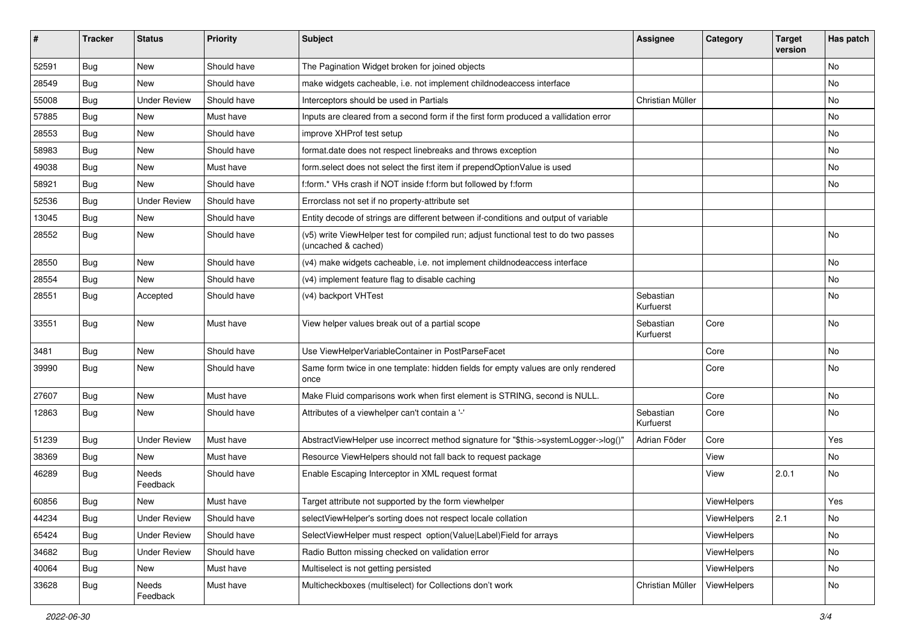| #     | <b>Tracker</b> | <b>Status</b>       | <b>Priority</b> | <b>Subject</b>                                                                                              | <b>Assignee</b>        | Category    | <b>Target</b><br>version | Has patch |
|-------|----------------|---------------------|-----------------|-------------------------------------------------------------------------------------------------------------|------------------------|-------------|--------------------------|-----------|
| 52591 | Bug            | New                 | Should have     | The Pagination Widget broken for joined objects                                                             |                        |             |                          | <b>No</b> |
| 28549 | Bug            | New                 | Should have     | make widgets cacheable, i.e. not implement childnodeaccess interface                                        |                        |             |                          | No        |
| 55008 | Bug            | <b>Under Review</b> | Should have     | Interceptors should be used in Partials                                                                     | Christian Müller       |             |                          | No        |
| 57885 | Bug            | New                 | Must have       | Inputs are cleared from a second form if the first form produced a vallidation error                        |                        |             |                          | No        |
| 28553 | <b>Bug</b>     | New                 | Should have     | improve XHProf test setup                                                                                   |                        |             |                          | No        |
| 58983 | Bug            | New                 | Should have     | format.date does not respect linebreaks and throws exception                                                |                        |             |                          | No        |
| 49038 | Bug            | New                 | Must have       | form select does not select the first item if prependOptionValue is used                                    |                        |             |                          | No        |
| 58921 | Bug            | New                 | Should have     | f:form.* VHs crash if NOT inside f:form but followed by f:form                                              |                        |             |                          | No        |
| 52536 | Bug            | <b>Under Review</b> | Should have     | Errorclass not set if no property-attribute set                                                             |                        |             |                          |           |
| 13045 | Bug            | New                 | Should have     | Entity decode of strings are different between if-conditions and output of variable                         |                        |             |                          |           |
| 28552 | Bug            | New                 | Should have     | (v5) write ViewHelper test for compiled run; adjust functional test to do two passes<br>(uncached & cached) |                        |             |                          | <b>No</b> |
| 28550 | Bug            | New                 | Should have     | (v4) make widgets cacheable, i.e. not implement childnodeaccess interface                                   |                        |             |                          | No        |
| 28554 | <b>Bug</b>     | New                 | Should have     | (v4) implement feature flag to disable caching                                                              |                        |             |                          | No        |
| 28551 | Bug            | Accepted            | Should have     | (v4) backport VHTest                                                                                        | Sebastian<br>Kurfuerst |             |                          | <b>No</b> |
| 33551 | Bug            | New                 | Must have       | View helper values break out of a partial scope                                                             | Sebastian<br>Kurfuerst | Core        |                          | <b>No</b> |
| 3481  | Bug            | New                 | Should have     | Use ViewHelperVariableContainer in PostParseFacet                                                           |                        | Core        |                          | No        |
| 39990 | <b>Bug</b>     | New                 | Should have     | Same form twice in one template: hidden fields for empty values are only rendered<br>once                   |                        | Core        |                          | No        |
| 27607 | <b>Bug</b>     | New                 | Must have       | Make Fluid comparisons work when first element is STRING, second is NULL.                                   |                        | Core        |                          | <b>No</b> |
| 12863 | Bug            | New                 | Should have     | Attributes of a viewhelper can't contain a '-'                                                              | Sebastian<br>Kurfuerst | Core        |                          | No        |
| 51239 | Bug            | <b>Under Review</b> | Must have       | AbstractViewHelper use incorrect method signature for "\$this->systemLogger->log()"                         | Adrian Föder           | Core        |                          | Yes       |
| 38369 | Bug            | New                 | Must have       | Resource ViewHelpers should not fall back to request package                                                |                        | View        |                          | No        |
| 46289 | Bug            | Needs<br>Feedback   | Should have     | Enable Escaping Interceptor in XML request format                                                           |                        | View        | 2.0.1                    | No        |
| 60856 | Bug            | New                 | Must have       | Target attribute not supported by the form viewhelper                                                       |                        | ViewHelpers |                          | Yes       |
| 44234 | <b>Bug</b>     | <b>Under Review</b> | Should have     | selectViewHelper's sorting does not respect locale collation                                                |                        | ViewHelpers | 2.1                      | No        |
| 65424 | Bug            | <b>Under Review</b> | Should have     | SelectViewHelper must respect option(Value Label)Field for arrays                                           |                        | ViewHelpers |                          | No        |
| 34682 | Bug            | <b>Under Review</b> | Should have     | Radio Button missing checked on validation error                                                            |                        | ViewHelpers |                          | No        |
| 40064 | Bug            | New                 | Must have       | Multiselect is not getting persisted                                                                        |                        | ViewHelpers |                          | No        |
| 33628 | <b>Bug</b>     | Needs<br>Feedback   | Must have       | Multicheckboxes (multiselect) for Collections don't work                                                    | Christian Müller       | ViewHelpers |                          | No        |